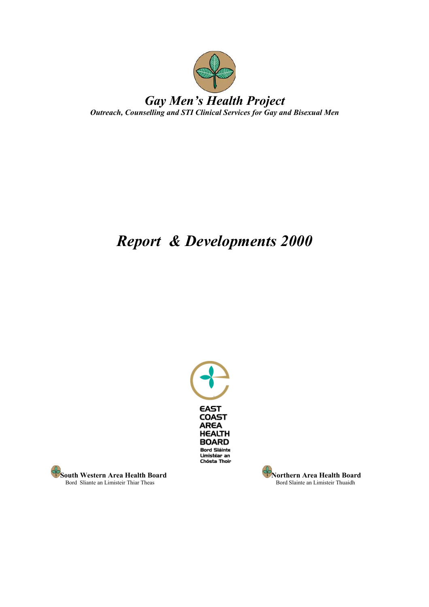

# *Report & Developments 2000*



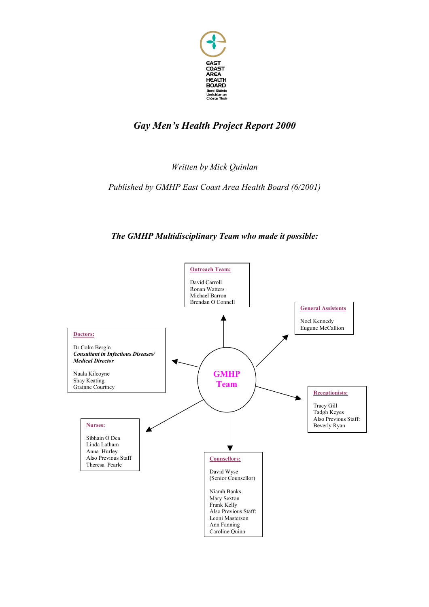

*Written by Mick Quinlan*

*Published by GMHP East Coast Area Health Board (6/2001)* 

### *The GMHP Multidisciplinary Team who made it possible:*

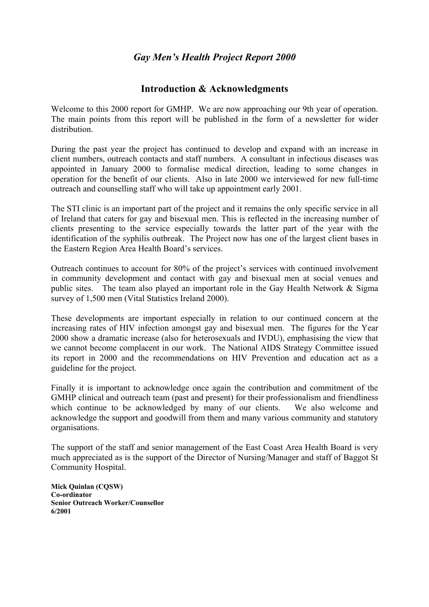### **Introduction & Acknowledgments**

Welcome to this 2000 report for GMHP. We are now approaching our 9th year of operation. The main points from this report will be published in the form of a newsletter for wider distribution.

During the past year the project has continued to develop and expand with an increase in client numbers, outreach contacts and staff numbers. A consultant in infectious diseases was appointed in January 2000 to formalise medical direction, leading to some changes in operation for the benefit of our clients. Also in late 2000 we interviewed for new full-time outreach and counselling staff who will take up appointment early 2001.

The STI clinic is an important part of the project and it remains the only specific service in all of Ireland that caters for gay and bisexual men. This is reflected in the increasing number of clients presenting to the service especially towards the latter part of the year with the identification of the syphilis outbreak. The Project now has one of the largest client bases in the Eastern Region Area Health Board's services.

Outreach continues to account for 80% of the project's services with continued involvement in community development and contact with gay and bisexual men at social venues and public sites. The team also played an important role in the Gay Health Network & Sigma survey of 1,500 men (Vital Statistics Ireland 2000).

These developments are important especially in relation to our continued concern at the increasing rates of HIV infection amongst gay and bisexual men. The figures for the Year 2000 show a dramatic increase (also for heterosexuals and IVDU), emphasising the view that we cannot become complacent in our work. The National AIDS Strategy Committee issued its report in 2000 and the recommendations on HIV Prevention and education act as a guideline for the project.

Finally it is important to acknowledge once again the contribution and commitment of the GMHP clinical and outreach team (past and present) for their professionalism and friendliness which continue to be acknowledged by many of our clients. We also welcome and acknowledge the support and goodwill from them and many various community and statutory organisations.

The support of the staff and senior management of the East Coast Area Health Board is very much appreciated as is the support of the Director of Nursing/Manager and staff of Baggot St Community Hospital.

**Mick Quinlan (CQSW) Co-ordinator Senior Outreach Worker/Counsellor 6/2001**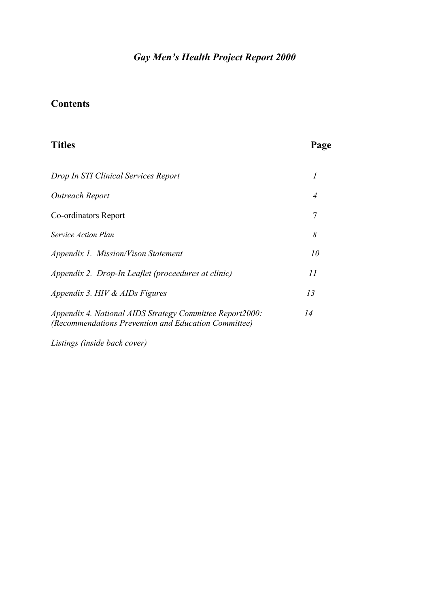# **Contents**

| <b>Titles</b>                                                                                                    | Page |
|------------------------------------------------------------------------------------------------------------------|------|
| Drop In STI Clinical Services Report                                                                             | 1    |
| Outreach Report                                                                                                  | 4    |
| Co-ordinators Report                                                                                             | 7    |
| Service Action Plan                                                                                              | 8    |
| Appendix 1. Mission/Vison Statement                                                                              | 10   |
| Appendix 2. Drop-In Leaflet (proceedures at clinic)                                                              | 11   |
| Appendix 3. HIV & AIDs Figures                                                                                   | 13   |
| Appendix 4. National AIDS Strategy Committee Report2000:<br>(Recommendations Prevention and Education Committee) | 14   |

*Listings (inside back cover)*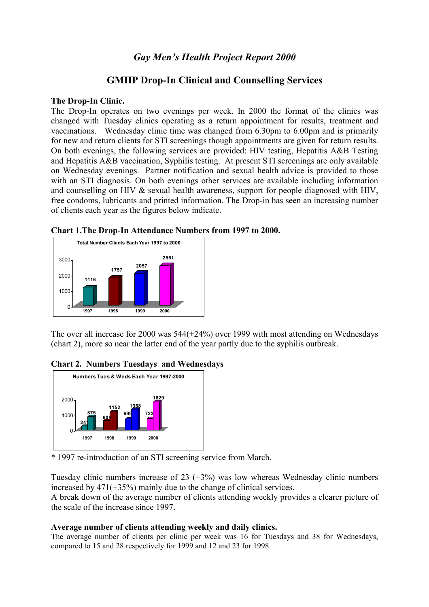### **GMHP Drop-In Clinical and Counselling Services**

#### **The Drop-In Clinic.**

The Drop-In operates on two evenings per week. In 2000 the format of the clinics was changed with Tuesday clinics operating as a return appointment for results, treatment and vaccinations. Wednesday clinic time was changed from 6.30pm to 6.00pm and is primarily for new and return clients for STI screenings though appointments are given for return results. On both evenings, the following services are provided: HIV testing, Hepatitis A&B Testing and Hepatitis A&B vaccination, Syphilis testing. At present STI screenings are only available on Wednesday evenings. Partner notification and sexual health advice is provided to those with an STI diagnosis. On both evenings other services are available including information and counselling on HIV & sexual health awareness, support for people diagnosed with HIV, free condoms, lubricants and printed information. The Drop-in has seen an increasing number of clients each year as the figures below indicate.





The over all increase for 2000 was 544(+24%) over 1999 with most attending on Wednesdays (chart 2), more so near the latter end of the year partly due to the syphilis outbreak.





\* 1997 re-introduction of an STI screening service from March.

Tuesday clinic numbers increase of 23  $(+3%)$  was low whereas Wednesday clinic numbers increased by 471(+35%) mainly due to the change of clinical services.

A break down of the average number of clients attending weekly provides a clearer picture of the scale of the increase since 1997.

### **Average number of clients attending weekly and daily clinics.**

The average number of clients per clinic per week was 16 for Tuesdays and 38 for Wednesdays, compared to 15 and 28 respectively for 1999 and 12 and 23 for 1998.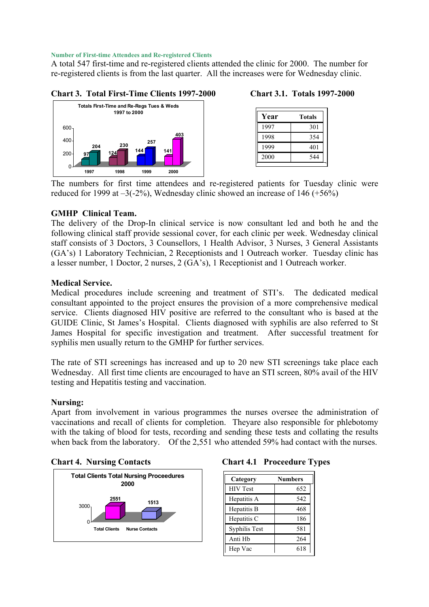#### **Number of First-time Attendees and Re-registered Clients**

A total 547 first-time and re-registered clients attended the clinic for 2000. The number for re-registered clients is from the last quarter. All the increases were for Wednesday clinic.

#### **204 230 257 403** 400 600 **Totals First-Time and Re-Regs Tues & Weds 1997 to 2000**

**97 124 144 141** 0 200  **1997 1998 1999 2000**

### **Chart 3. Total First-Time Clients 1997-2000 Chart 3.1. Totals 1997-2000**

| Year | Totals |
|------|--------|
| 1997 | 301    |
| 1998 | 354    |
| 1999 | 401    |
| 2000 | 544    |

The numbers for first time attendees and re-registered patients for Tuesday clinic were reduced for 1999 at  $-3(-2\%)$ , Wednesday clinic showed an increase of 146 ( $+56\%$ )

### **GMHP Clinical Team.**

The delivery of the Drop-In clinical service is now consultant led and both he and the following clinical staff provide sessional cover, for each clinic per week. Wednesday clinical staff consists of 3 Doctors, 3 Counsellors, 1 Health Advisor, 3 Nurses, 3 General Assistants (GA's) 1 Laboratory Technician, 2 Receptionists and 1 Outreach worker. Tuesday clinic has a lesser number, 1 Doctor, 2 nurses, 2 (GA's), 1 Receptionist and 1 Outreach worker.

#### **Medical Service.**

Medical procedures include screening and treatment of STI's. The dedicated medical consultant appointed to the project ensures the provision of a more comprehensive medical service. Clients diagnosed HIV positive are referred to the consultant who is based at the GUIDE Clinic, St James's Hospital. Clients diagnosed with syphilis are also referred to St James Hospital for specific investigation and treatment. After successful treatment for syphilis men usually return to the GMHP for further services.

The rate of STI screenings has increased and up to 20 new STI screenings take place each Wednesday. All first time clients are encouraged to have an STI screen, 80% avail of the HIV testing and Hepatitis testing and vaccination.

#### **Nursing:**

Apart from involvement in various programmes the nurses oversee the administration of vaccinations and recall of clients for completion. Theyare also responsible for phlebotomy with the taking of blood for tests, recording and sending these tests and collating the results when back from the laboratory. Of the 2,551 who attended 59% had contact with the nurses.



#### **Chart 4. Nursing Contacts Chart 4.1 Proceedure Types**

| Category        | <b>Numbers</b> |
|-----------------|----------------|
| <b>HIV</b> Test | 652            |
| Hepatitis A     | 542            |
| Hepatitis B     | 468            |
| Hepatitis C     | 186            |
| Syphilis Test   | 581            |
| Anti Hb         | 264            |
| Hep Vac         | 618            |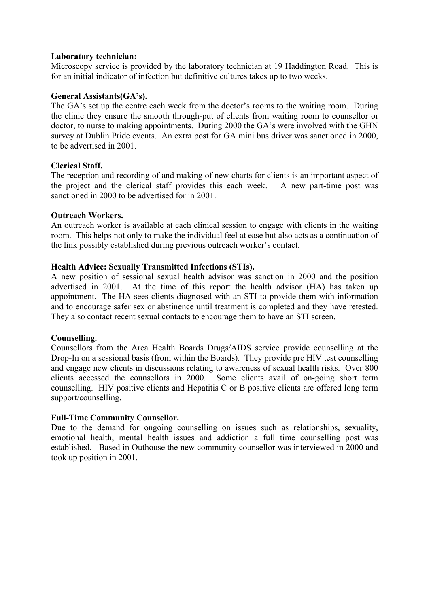#### **Laboratory technician:**

Microscopy service is provided by the laboratory technician at 19 Haddington Road. This is for an initial indicator of infection but definitive cultures takes up to two weeks.

#### **General Assistants(GA's).**

The GA's set up the centre each week from the doctor's rooms to the waiting room. During the clinic they ensure the smooth through-put of clients from waiting room to counsellor or doctor, to nurse to making appointments. During 2000 the GA's were involved with the GHN survey at Dublin Pride events. An extra post for GA mini bus driver was sanctioned in 2000, to be advertised in 2001.

#### **Clerical Staff.**

The reception and recording of and making of new charts for clients is an important aspect of the project and the clerical staff provides this each week. A new part-time post was sanctioned in 2000 to be advertised for in 2001.

#### **Outreach Workers.**

An outreach worker is available at each clinical session to engage with clients in the waiting room. This helps not only to make the individual feel at ease but also acts as a continuation of the link possibly established during previous outreach worker's contact.

#### **Health Advice: Sexually Transmitted Infections (STIs).**

A new position of sessional sexual health advisor was sanction in 2000 and the position advertised in 2001. At the time of this report the health advisor (HA) has taken up appointment. The HA sees clients diagnosed with an STI to provide them with information and to encourage safer sex or abstinence until treatment is completed and they have retested. They also contact recent sexual contacts to encourage them to have an STI screen.

#### **Counselling.**

Counsellors from the Area Health Boards Drugs/AIDS service provide counselling at the Drop-In on a sessional basis (from within the Boards). They provide pre HIV test counselling and engage new clients in discussions relating to awareness of sexual health risks. Over 800 clients accessed the counsellors in 2000. Some clients avail of on-going short term counselling. HIV positive clients and Hepatitis C or B positive clients are offered long term support/counselling.

### **Full-Time Community Counsellor.**

Due to the demand for ongoing counselling on issues such as relationships, sexuality, emotional health, mental health issues and addiction a full time counselling post was established. Based in Outhouse the new community counsellor was interviewed in 2000 and took up position in 2001.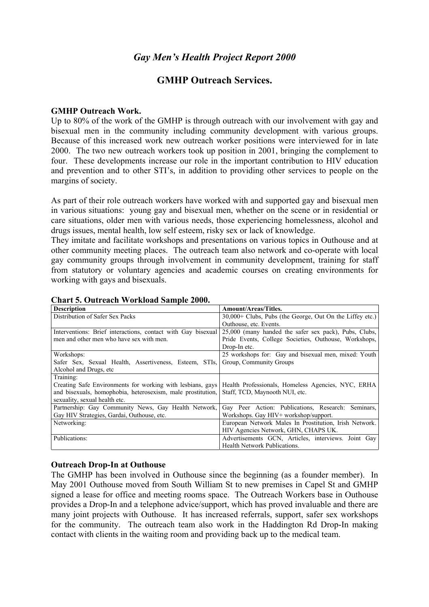### **GMHP Outreach Services.**

#### **GMHP Outreach Work.**

Up to 80% of the work of the GMHP is through outreach with our involvement with gay and bisexual men in the community including community development with various groups. Because of this increased work new outreach worker positions were interviewed for in late 2000. The two new outreach workers took up position in 2001, bringing the complement to four. These developments increase our role in the important contribution to HIV education and prevention and to other STI's, in addition to providing other services to people on the margins of society.

As part of their role outreach workers have worked with and supported gay and bisexual men in various situations: young gay and bisexual men, whether on the scene or in residential or care situations, older men with various needs, those experiencing homelessness, alcohol and drugs issues, mental health, low self esteem, risky sex or lack of knowledge.

They imitate and facilitate workshops and presentations on various topics in Outhouse and at other community meeting places. The outreach team also network and co-operate with local gay community groups through involvement in community development, training for staff from statutory or voluntary agencies and academic courses on creating environments for working with gays and bisexuals.

| <b>Description</b>                                           | <b>Amount/Areas/Titles.</b>                              |  |  |
|--------------------------------------------------------------|----------------------------------------------------------|--|--|
| Distribution of Safer Sex Packs                              | 30,000+ Clubs, Pubs (the George, Out On the Liffey etc.) |  |  |
|                                                              | Outhouse, etc. Events.                                   |  |  |
| Interventions: Brief interactions, contact with Gay bisexual | 25,000 (many handed the safer sex pack), Pubs, Clubs,    |  |  |
| men and other men who have sex with men.                     | Pride Events, College Societies, Outhouse, Workshops,    |  |  |
|                                                              | Drop-In etc.                                             |  |  |
| Workshops:                                                   | 25 workshops for: Gay and bisexual men, mixed: Youth     |  |  |
| Safer Sex, Sexual Health, Assertiveness, Esteem, STIs,       | Group, Community Groups                                  |  |  |
| Alcohol and Drugs, etc.                                      |                                                          |  |  |
| Training:                                                    |                                                          |  |  |
| Creating Safe Environments for working with lesbians, gays   | Health Professionals, Homeless Agencies, NYC, ERHA       |  |  |
| and bisexuals, homophobia, heterosexism, male prostitution,  | Staff, TCD, Maynooth NUI, etc.                           |  |  |
| sexuality, sexual health etc.                                |                                                          |  |  |
| Partnership: Gay Community News, Gay Health Network,         | Gay Peer Action: Publications, Research: Seminars,       |  |  |
| Gay HIV Strategies, Gardai, Outhouse, etc.                   | Workshops. Gay HIV+ workshop/support.                    |  |  |
| Networking:                                                  | European Network Males In Prostitution, Irish Network.   |  |  |
|                                                              | HIV Agencies Network, GHN, CHAPS UK.                     |  |  |
| Publications:                                                | Advertisements GCN, Articles, interviews. Joint Gay      |  |  |
|                                                              | Health Network Publications.                             |  |  |

#### **Chart 5. Outreach Workload Sample 2000.**

#### **Outreach Drop-In at Outhouse**

The GMHP has been involved in Outhouse since the beginning (as a founder member). In May 2001 Outhouse moved from South William St to new premises in Capel St and GMHP signed a lease for office and meeting rooms space. The Outreach Workers base in Outhouse provides a Drop-In and a telephone advice/support, which has proved invaluable and there are many joint projects with Outhouse. It has increased referrals, support, safer sex workshops for the community. The outreach team also work in the Haddington Rd Drop-In making contact with clients in the waiting room and providing back up to the medical team.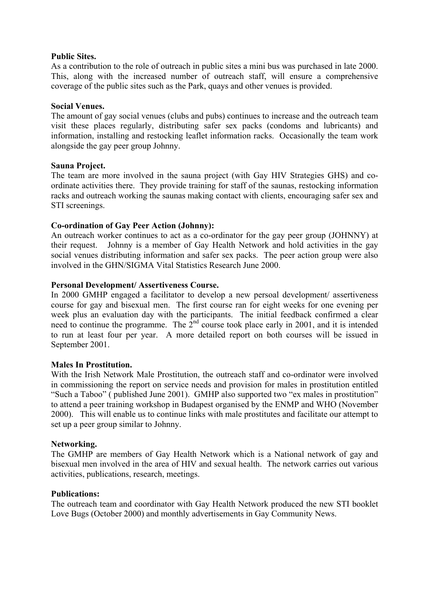#### **Public Sites.**

As a contribution to the role of outreach in public sites a mini bus was purchased in late 2000. This, along with the increased number of outreach staff, will ensure a comprehensive coverage of the public sites such as the Park, quays and other venues is provided.

#### **Social Venues.**

The amount of gay social venues (clubs and pubs) continues to increase and the outreach team visit these places regularly, distributing safer sex packs (condoms and lubricants) and information, installing and restocking leaflet information racks. Occasionally the team work alongside the gay peer group Johnny.

#### **Sauna Project.**

The team are more involved in the sauna project (with Gay HIV Strategies GHS) and coordinate activities there. They provide training for staff of the saunas, restocking information racks and outreach working the saunas making contact with clients, encouraging safer sex and STI screenings.

### **Co-ordination of Gay Peer Action (Johnny):**

An outreach worker continues to act as a co-ordinator for the gay peer group (JOHNNY) at their request. Johnny is a member of Gay Health Network and hold activities in the gay social venues distributing information and safer sex packs. The peer action group were also involved in the GHN/SIGMA Vital Statistics Research June 2000.

#### **Personal Development/ Assertiveness Course.**

In 2000 GMHP engaged a facilitator to develop a new persoal development/ assertiveness course for gay and bisexual men. The first course ran for eight weeks for one evening per week plus an evaluation day with the participants. The initial feedback confirmed a clear need to continue the programme. The  $2<sup>nd</sup>$  course took place early in 2001, and it is intended to run at least four per year. A more detailed report on both courses will be issued in September 2001.

#### **Males In Prostitution.**

With the Irish Network Male Prostitution, the outreach staff and co-ordinator were involved in commissioning the report on service needs and provision for males in prostitution entitled "Such a Taboo" ( published June 2001). GMHP also supported two "ex males in prostitution" to attend a peer training workshop in Budapest organised by the ENMP and WHO (November 2000). This will enable us to continue links with male prostitutes and facilitate our attempt to set up a peer group similar to Johnny.

#### **Networking.**

The GMHP are members of Gay Health Network which is a National network of gay and bisexual men involved in the area of HIV and sexual health. The network carries out various activities, publications, research, meetings.

#### **Publications:**

The outreach team and coordinator with Gay Health Network produced the new STI booklet Love Bugs (October 2000) and monthly advertisements in Gay Community News.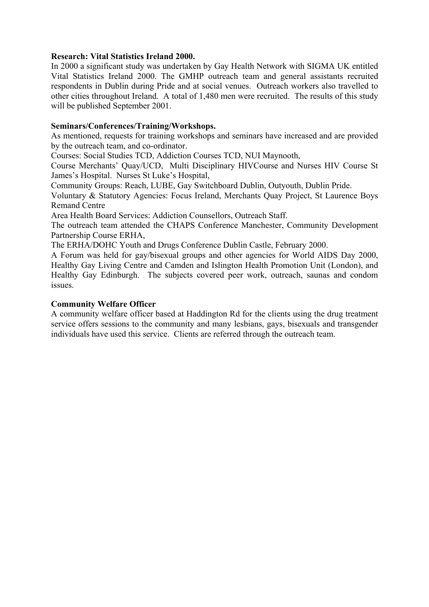#### **Research: Vital Statistics Ireland 2000.**

In 2000 a significant study was undertaken by Gay Health Network with SIGMA UK entitled Vital Statistics Ireland 2000. The GMHP outreach team and general assistants recruited respondents in Dublin during Pride and at social venues. Outreach workers also travelled to other cities throughout Ireland. A total of 1,480 men were recruited. The results of this study will be published September 2001.

#### **Seminars/Conferences/Training/Workshops.**

As mentioned, requests for training workshops and seminars have increased and are provided by the outreach team, and co-ordinator.

Courses: Social Studies TCD, Addiction Courses TCD, NUI Maynooth,

Course Merchants' Quay/UCD, Multi Disciplinary HIVCourse and Nurses HIV Course St James's Hospital. Nurses St Luke's Hospital,

Community Groups: Reach, LUBE, Gay Switchboard Dublin, Outyouth, Dublin Pride.

Voluntary & Statutory Agencies: Focus Ireland, Merchants Quay Project, St Laurence Boys Remand Centre

Area Health Board Services: Addiction Counsellors, Outreach Staff.

The outreach team attended the CHAPS Conference Manchester, Community Development Partnership Course ERHA,

The ERHA/DOHC Youth and Drugs Conference Dublin Castle, February 2000.

A Forum was held for gay/bisexual groups and other agencies for World AIDS Day 2000, Healthy Gay Living Centre and Camden and Islington Health Promotion Unit (London), and Healthy Gay Edinburgh. The subjects covered peer work, outreach, saunas and condom issues.

#### **Community Welfare Officer**

A community welfare officer based at Haddington Rd for the clients using the drug treatment service offers sessions to the community and many lesbians, gays, bisexuals and transgender individuals have used this service. Clients are referred through the outreach team.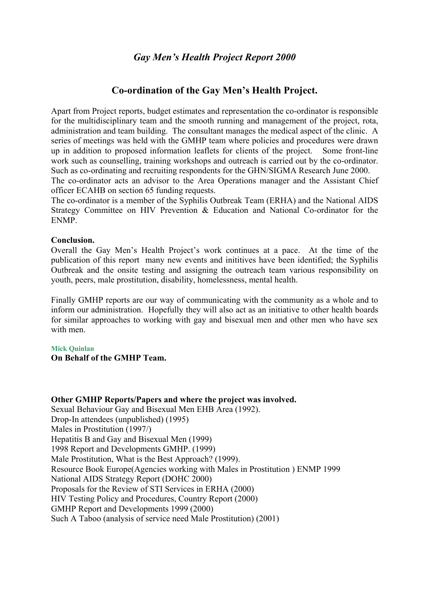### **Co-ordination of the Gay Men's Health Project.**

Apart from Project reports, budget estimates and representation the co-ordinator is responsible for the multidisciplinary team and the smooth running and management of the project, rota, administration and team building. The consultant manages the medical aspect of the clinic. A series of meetings was held with the GMHP team where policies and procedures were drawn up in addition to proposed information leaflets for clients of the project. Some front-line work such as counselling, training workshops and outreach is carried out by the co-ordinator. Such as co-ordinating and recruiting respondents for the GHN/SIGMA Research June 2000.

The co-ordinator acts an advisor to the Area Operations manager and the Assistant Chief officer ECAHB on section 65 funding requests.

The co-ordinator is a member of the Syphilis Outbreak Team (ERHA) and the National AIDS Strategy Committee on HIV Prevention & Education and National Co-ordinator for the ENMP.

#### **Conclusion.**

Overall the Gay Men's Health Project's work continues at a pace. At the time of the publication of this report many new events and inititives have been identified; the Syphilis Outbreak and the onsite testing and assigning the outreach team various responsibility on youth, peers, male prostitution, disability, homelessness, mental health.

Finally GMHP reports are our way of communicating with the community as a whole and to inform our administration. Hopefully they will also act as an initiative to other health boards for similar approaches to working with gay and bisexual men and other men who have sex with men.

#### **Mick Quinlan**

**On Behalf of the GMHP Team.**

**Other GMHP Reports/Papers and where the project was involved.**  Sexual Behaviour Gay and Bisexual Men EHB Area (1992). Drop-In attendees (unpublished) (1995) Males in Prostitution (1997/) Hepatitis B and Gay and Bisexual Men (1999) 1998 Report and Developments GMHP. (1999) Male Prostitution, What is the Best Approach? (1999). Resource Book Europe(Agencies working with Males in Prostitution ) ENMP 1999 National AIDS Strategy Report (DOHC 2000) Proposals for the Review of STI Services in ERHA (2000) HIV Testing Policy and Procedures, Country Report (2000) GMHP Report and Developments 1999 (2000) Such A Taboo (analysis of service need Male Prostitution) (2001)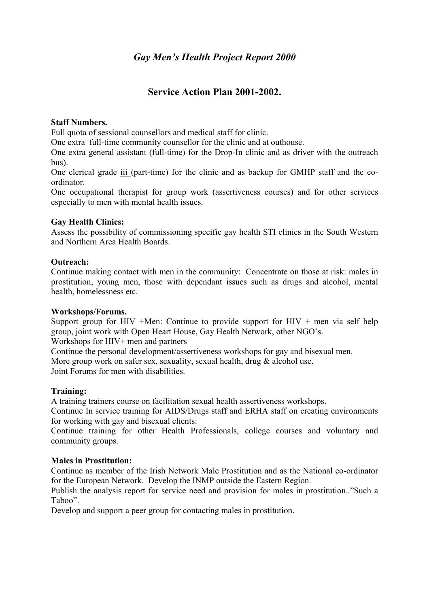## **Service Action Plan 2001-2002.**

### **Staff Numbers.**

Full quota of sessional counsellors and medical staff for clinic.

One extra full-time community counsellor for the clinic and at outhouse.

One extra general assistant (full-time) for the Drop-In clinic and as driver with the outreach bus).

One clerical grade iii (part-time) for the clinic and as backup for GMHP staff and the coordinator.

One occupational therapist for group work (assertiveness courses) and for other services especially to men with mental health issues.

### **Gay Health Clinics:**

Assess the possibility of commissioning specific gay health STI clinics in the South Western and Northern Area Health Boards.

### **Outreach:**

Continue making contact with men in the community: Concentrate on those at risk: males in prostitution, young men, those with dependant issues such as drugs and alcohol, mental health, homelessness etc.

### **Workshops/Forums.**

Support group for HIV +Men: Continue to provide support for HIV + men via self help group, joint work with Open Heart House, Gay Health Network, other NGO's.

Workshops for HIV+ men and partners

Continue the personal development/assertiveness workshops for gay and bisexual men. More group work on safer sex, sexuality, sexual health, drug & alcohol use.

Joint Forums for men with disabilities.

### **Training:**

A training trainers course on facilitation sexual health assertiveness workshops.

Continue In service training for AIDS/Drugs staff and ERHA staff on creating environments for working with gay and bisexual clients:

Continue training for other Health Professionals, college courses and voluntary and community groups.

### **Males in Prostitution:**

Continue as member of the Irish Network Male Prostitution and as the National co-ordinator for the European Network. Develop the INMP outside the Eastern Region.

Publish the analysis report for service need and provision for males in prostitution.."Such a Taboo".

Develop and support a peer group for contacting males in prostitution.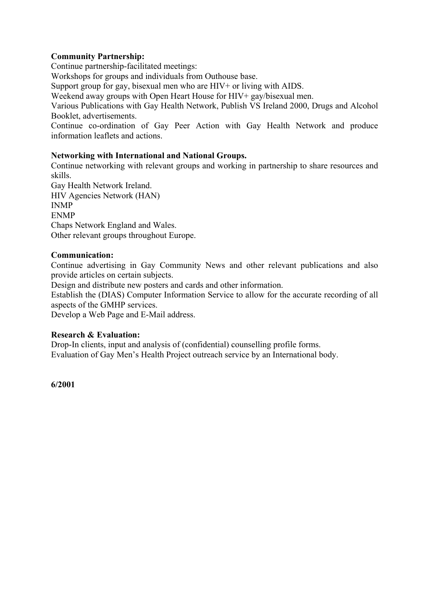### **Community Partnership:**

Continue partnership-facilitated meetings:

Workshops for groups and individuals from Outhouse base.

Support group for gay, bisexual men who are HIV+ or living with AIDS.

Weekend away groups with Open Heart House for HIV+ gay/bisexual men.

Various Publications with Gay Health Network, Publish VS Ireland 2000, Drugs and Alcohol Booklet, advertisements.

Continue co-ordination of Gay Peer Action with Gay Health Network and produce information leaflets and actions.

#### **Networking with International and National Groups.**

Continue networking with relevant groups and working in partnership to share resources and skills. Gay Health Network Ireland. HIV Agencies Network (HAN)

INMP ENMP Chaps Network England and Wales. Other relevant groups throughout Europe.

#### **Communication:**

Continue advertising in Gay Community News and other relevant publications and also provide articles on certain subjects.

Design and distribute new posters and cards and other information.

Establish the (DIAS) Computer Information Service to allow for the accurate recording of all aspects of the GMHP services.

Develop a Web Page and E-Mail address.

#### **Research & Evaluation:**

Drop-In clients, input and analysis of (confidential) counselling profile forms. Evaluation of Gay Men's Health Project outreach service by an International body.

**6/2001**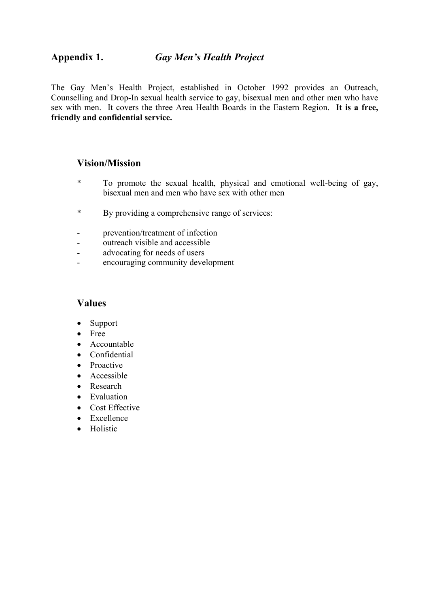The Gay Men's Health Project, established in October 1992 provides an Outreach, Counselling and Drop-In sexual health service to gay, bisexual men and other men who have sex with men. It covers the three Area Health Boards in the Eastern Region. **It is a free, friendly and confidential service.** 

### **Vision/Mission**

- \* To promote the sexual health, physical and emotional well-being of gay, bisexual men and men who have sex with other men
- \* By providing a comprehensive range of services:
- prevention/treatment of infection
- outreach visible and accessible
- advocating for needs of users
- encouraging community development

### **Values**

- Support
- Free
- Accountable
- Confidential
- Proactive
- Accessible
- Research
- Evaluation
- Cost Effective
- Excellence
- Holistic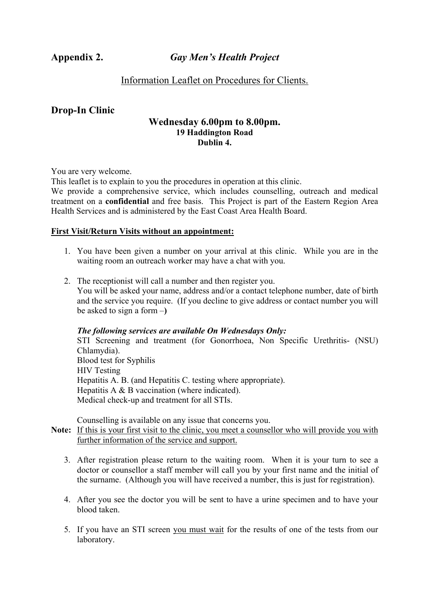### Information Leaflet on Procedures for Clients.

### **Drop-In Clinic**

#### **Wednesday 6.00pm to 8.00pm. 19 Haddington Road Dublin 4.**

You are very welcome.

This leaflet is to explain to you the procedures in operation at this clinic.

We provide a comprehensive service, which includes counselling, outreach and medical treatment on a **confidential** and free basis. This Project is part of the Eastern Region Area Health Services and is administered by the East Coast Area Health Board.

#### **First Visit/Return Visits without an appointment:**

- 1. You have been given a number on your arrival at this clinic. While you are in the waiting room an outreach worker may have a chat with you.
- 2. The receptionist will call a number and then register you. You will be asked your name, address and/or a contact telephone number, date of birth and the service you require. (If you decline to give address or contact number you will be asked to sign a form –**)**

#### *The following services are available On Wednesdays Only:*

STI Screening and treatment (for Gonorrhoea, Non Specific Urethritis- (NSU) Chlamydia). Blood test for Syphilis HIV Testing Hepatitis A. B. (and Hepatitis C. testing where appropriate). Hepatitis A & B vaccination (where indicated). Medical check-up and treatment for all STIs.

Counselling is available on any issue that concerns you.

#### **Note:** If this is your first visit to the clinic, you meet a counsellor who will provide you with further information of the service and support.

- 3. After registration please return to the waiting room. When it is your turn to see a doctor or counsellor a staff member will call you by your first name and the initial of the surname. (Although you will have received a number, this is just for registration).
- 4. After you see the doctor you will be sent to have a urine specimen and to have your blood taken.
- 5. If you have an STI screen you must wait for the results of one of the tests from our laboratory.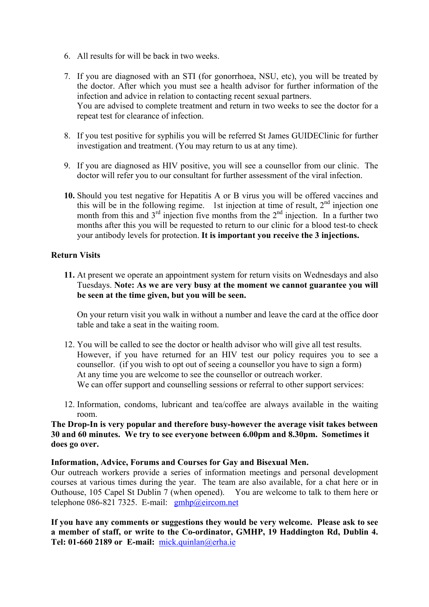- 6. All results for will be back in two weeks.
- 7. If you are diagnosed with an STI (for gonorrhoea, NSU, etc), you will be treated by the doctor. After which you must see a health advisor for further information of the infection and advice in relation to contacting recent sexual partners. You are advised to complete treatment and return in two weeks to see the doctor for a repeat test for clearance of infection.
- 8. If you test positive for syphilis you will be referred St James GUIDEClinic for further investigation and treatment. (You may return to us at any time).
- 9. If you are diagnosed as HIV positive, you will see a counsellor from our clinic. The doctor will refer you to our consultant for further assessment of the viral infection.
- **10.** Should you test negative for Hepatitis A or B virus you will be offered vaccines and this will be in the following regime. 1st injection at time of result,  $2<sup>nd</sup>$  injection one month from this and  $3<sup>rd</sup>$  injection five months from the  $2<sup>nd</sup>$  injection. In a further two months after this you will be requested to return to our clinic for a blood test-to check your antibody levels for protection. **It is important you receive the 3 injections.**

#### **Return Visits**

**11.** At present we operate an appointment system for return visits on Wednesdays and also Tuesdays. **Note: As we are very busy at the moment we cannot guarantee you will be seen at the time given, but you will be seen.** 

On your return visit you walk in without a number and leave the card at the office door table and take a seat in the waiting room.

- 12. You will be called to see the doctor or health advisor who will give all test results. However, if you have returned for an HIV test our policy requires you to see a counsellor. (if you wish to opt out of seeing a counsellor you have to sign a form) At any time you are welcome to see the counsellor or outreach worker. We can offer support and counselling sessions or referral to other support services:
- 12. Information, condoms, lubricant and tea/coffee are always available in the waiting room.

#### **The Drop-In is very popular and therefore busy-however the average visit takes between 30 and 60 minutes. We try to see everyone between 6.00pm and 8.30pm. Sometimes it does go over.**

#### **Information, Advice, Forums and Courses for Gay and Bisexual Men.**

Our outreach workers provide a series of information meetings and personal development courses at various times during the year. The team are also available, for a chat here or in Outhouse, 105 Capel St Dublin 7 (when opened). You are welcome to talk to them here or telephone 086-821 7325. E-mail:  $gmbp@eircom.net$ 

**If you have any comments or suggestions they would be very welcome. Please ask to see a member of staff, or write to the Co-ordinator, GMHP, 19 Haddington Rd, Dublin 4. Tel: 01-660 2189 or E-mail:** [mick.quinlan@erha.ie](mailto:mick.quinlan@erha.ie)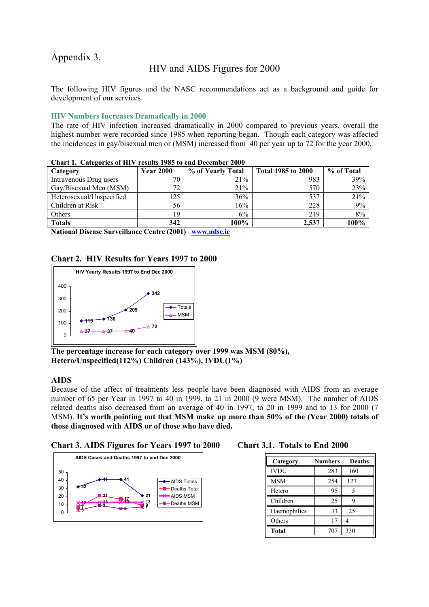### Appendix 3.

### HIV and AIDS Figures for 2000

The following HIV figures and the NASC recommendations act as a background and guide for development of our services.

#### **HIV Numbers Increases Dramatically in 2000**

The rate of HIV infection increased dramatically in 2000 compared to previous years, overall the highest number were recorded since 1985 when reporting began. Though each category was affected the incidences in gay/bisexual men or (MSM) increased from 40 per year up to 72 for the year 2000.

| Chart H. Cattleburg of HH . Testits 1900 to the Determent 2000 |                  |                   |                           |            |  |
|----------------------------------------------------------------|------------------|-------------------|---------------------------|------------|--|
| Category                                                       | <b>Year 2000</b> | % of Yearly Total | <b>Total 1985 to 2000</b> | % of Total |  |
| Intravenous Drug users                                         | 70               | 21%               | 983                       | 39%        |  |
| Gay/Bisexual Men (MSM)                                         | 72               | 21%               | 570                       | 23%        |  |
| Heterosexual/Unspecified                                       | 25               | 36%               | 537                       | 21%        |  |
| Children at Risk                                               | 56               | 16%               | 228                       | 9%         |  |
| Others                                                         | 19               | 6%                | 219                       | 8%         |  |
| <b>Totals</b>                                                  | 342              | 100%              | 2.537                     | 100%       |  |

**Chart 1. Categories of HIV results 1985 to end December 2000** 

**National Disease Surveillance Centre (2001) [www.ndsc.ie](http://www.ndsc.ie/)**

#### **Chart 2. HIV Results for Years 1997 to 2000**



**The percentage increase for each category over 1999 was MSM (80%), Hetero/Unspecified(112%) Children (143%), IVDU(1%)** 

#### **AIDS**

Because of the affect of treatments less people have been diagnosed with AIDS from an average number of 65 per Year in 1997 to 40 in 1999, to 21 in 2000 (9 were MSM). The number of AIDS related deaths also decreased from an average of 40 in 1997, to 20 in 1999 and to 13 for 2000 (7 MSM). **It's worth pointing out that MSM make up more than 50% of the (Year 2000) totals of those diagnosed with AIDS or of those who have died.** 





| Category     | <b>Numbers</b> | <b>Deaths</b> |
|--------------|----------------|---------------|
| <b>IVDU</b>  | 283            | 160           |
| <b>MSM</b>   | 254            | 127           |
| Hetero       | 95             | 5             |
| Children     | 25             | 9             |
| Haemophilics | 33             | 25            |
| Others       | 17             |               |
| <b>Total</b> | 707            | 330           |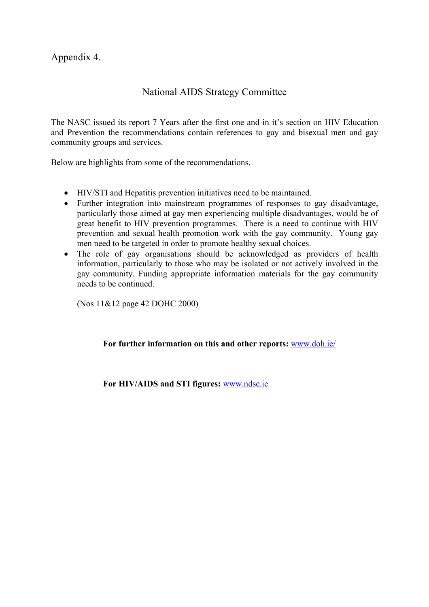Appendix 4.

## National AIDS Strategy Committee

The NASC issued its report 7 Years after the first one and in it's section on HIV Education and Prevention the recommendations contain references to gay and bisexual men and gay community groups and services.

Below are highlights from some of the recommendations.

- HIV/STI and Hepatitis prevention initiatives need to be maintained.
- Further integration into mainstream programmes of responses to gay disadvantage, particularly those aimed at gay men experiencing multiple disadvantages, would be of great benefit to HIV prevention programmes. There is a need to continue with HIV prevention and sexual health promotion work with the gay community. Young gay men need to be targeted in order to promote healthy sexual choices.
- The role of gay organisations should be acknowledged as providers of health information, particularly to those who may be isolated or not actively involved in the gay community. Funding appropriate information materials for the gay community needs to be continued.

(Nos 11&12 page 42 DOHC 2000)

### **For further information on this and other reports:** [www.doh.ie/](http://www.doh.ie/)

**For HIV/AIDS and STI figures:** [www.ndsc.ie](http://www.ndsc.ie/)